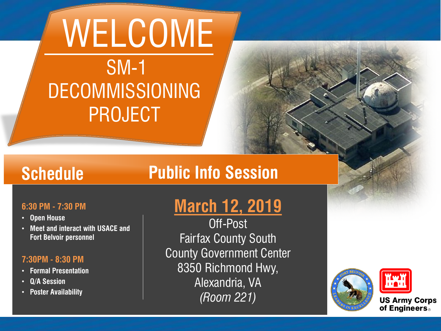# WELCOME SM-1 DECOMMISSIONING

PROJECT

# **Schedule Public Info Session**

## **6:30 PM - 7:30 PM**

- **Open House**
- **Meet and interact with USACE and Fort Belvoir personnel**

# **7:30PM - 8:30 PM**

- **Formal Presentation**
- **Q/A Session**
- **Poster Availability**

# **March 12, 2019**

Off-Post Fairfax County South County Government Center 8350 Richmond Hwy, Alexandria, VA *(Room 221)*



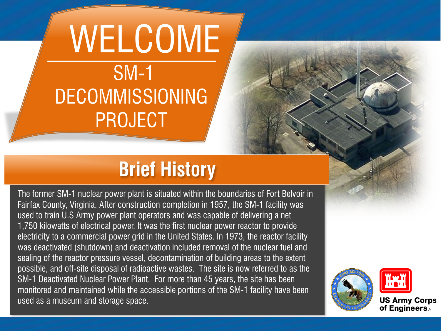# WELCOME SM-1 DECOMMISSIONING PROJECT

# **Brief History**

The former SM-1 nuclear power plant is situated within the boundaries of Fort Belvoir in Fairfax County, Virginia. After construction completion in 1957, the SM-1 facility was used to train U.S Army power plant operators and was capable of delivering a net 1,750 kilowatts of electrical power. It was the first nuclear power reactor to provide electricity to a commercial power grid in the United States. In 1973, the reactor facility was deactivated (shutdown) and deactivation included removal of the nuclear fuel and sealing of the reactor pressure vessel, decontamination of building areas to the extent possible, and off-site disposal of radioactive wastes. The site is now referred to as the SM-1 Deactivated Nuclear Power Plant. For more than 45 years, the site has been monitored and maintained while the accessible portions of the SM-1 facility have been used as a museum and storage space.



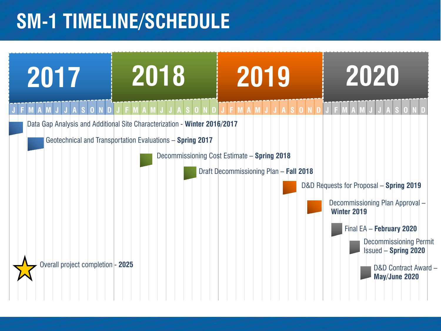# **SM-1 TIMELINE/SCHEDULE**

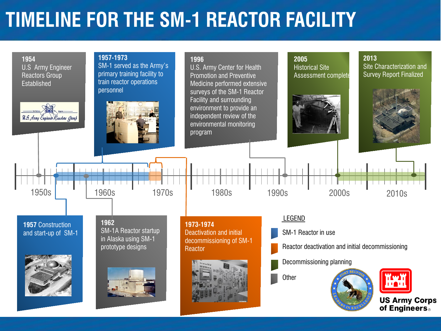# **TIMELINE FOR THE SM-1 REACTOR FACILITY**

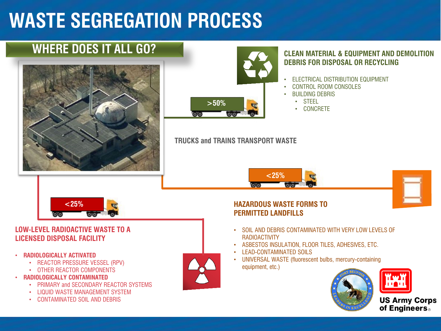# **WASTE SEGREGATION PROCESS**

# **WHERE DOES IT ALL GO?**





## **TRUCKS and TRAINS TRANSPORT WASTE**

## **CLEAN MATERIAL & EQUIPMENT AND DEMOLITION DEBRIS FOR DISPOSAL OR RECYCLING**

- ELECTRICAL DISTRIBUTION EQUIPMENT
- CONTROL ROOM CONSOLES
- BUILDING DEBRIS
	- STEEL
	- CONCRETE

**<25% OO** oïo) **LOW-LEVEL RADIOACTIVE WASTE TO A** 

# **LICENSED DISPOSAL FACILITY**

- **RADIOLOGICALLY ACTIVATED**
	- REACTOR PRESSURE VESSEL (RPV)
	- OTHER REACTOR COMPONENTS
- **RADIOLOGICALLY CONTAMINATED**
	- PRIMARY and SECONDARY REACTOR SYSTEMS
	- LIQUID WASTE MANAGEMENT SYSTEM
	- CONTAMINATED SOIL AND DEBRIS



## **HAZARDOUS WASTE FORMS TO PERMITTED LANDFILLS**

**<25%**

 $010$ 

 $O(6)$ 

- SOIL AND DEBRIS CONTAMINATED WITH VERY LOW LEVELS OF RADIOACTIVITY
- ASBESTOS INSULATION, FLOOR TILES, ADHESIVES, ETC.
- LEAD-CONTAMINATED SOILS
- UNIVERSAL WASTE (fluorescent bulbs, mercury-containing equipment, etc.)

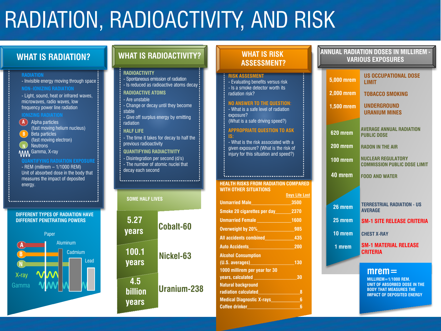# RADIATION, RADIOACTIVITY, AND RISK

# **WHAT IS RADIATION?**

- Invisible energy moving through space:
- Light, sound, heat or infrared waves, microwaves, radio waves, low frequency power line radiation



(fast moving electron)

- REM (millirem – 1/1000 REM) Unit of absorbed dose in the body that measures the impact of deposited energy.





## **WHAT IS RADIOACTIVITY?**

### **RADIOACTIVITY** - Spontaneous emission of radiation - Is reduced as radioactive atoms decay: **RADIOACTIVE ATOMS** - Are unstable - Change or decay until they become stable - Give off surplus energy by emitting radiation **HALF LIFE** - The time it takes for decay to half the previous radioactivity **QUANTIFYING RADIACTIVITY** - Disintegration per second (d/s) - The number of atomic nuclei that decay each second

### **SOME HALF LIVES**



## **WHAT IS RISK ASSESSMENT?**

### **RISK ASSESMENT**

- Evaluating benefits versus risk - Is a smoke detector worth its radiation risk?

### **NO ANSWER TO THE QUESTION:**

- What is a safe level of radiation exposure? (What is a safe driving speed?)

## **APPROPRIATE QUESTION TO ASK**

- What is the risk associated with a given exposure? (What is the risk of injury for this situation and speed?)

### ..................................... **HEALTH RISKS FROM RADIATION COMPARED WITH OTHER SITUATIONS**

|                                  | <b>Days Life Lost</b> |
|----------------------------------|-----------------------|
|                                  |                       |
| Smoke 20 cigarettes per day 2370 |                       |
| Unmarried Female                 |                       |
|                                  |                       |
|                                  |                       |
| Auto Accidents 200               |                       |
| <b>Alcohol Consumption</b>       |                       |
| (U.S. averages) 130              |                       |
| 1000 millirem per year for 30    |                       |
|                                  |                       |
| <b>Natural background</b>        |                       |
| radiation calculated 8           |                       |
| Medical Diagnostic X-rays        |                       |
|                                  |                       |
|                                  |                       |

### **ANNUAL RADIATION DOSES IN MILLIREM - VARIOUS EXPOSURES**

**5,000 mrem**

**2.00** 

**1,500 mrem**

**620 mrem**

**200 mrem**

**100** 

**40 mrem**

| <b>.000 mrem</b> | <b>US OCCUPATIONAL DOSE</b><br><b>LIMIT</b>                      |
|------------------|------------------------------------------------------------------|
| .000 mrem        | <b>TOBACCO SMOKING</b>                                           |
| .500 mrem        | <b>UNDERGROUND</b><br><b>URANIUM MINES</b>                       |
| 20 mrem          | <b>AVERAGE ANNUAL RADIATION</b><br><b>PUBLIC DOSE</b>            |
| <u> 200 mrem</u> | <b>RADON IN THE AIR</b>                                          |
| 00 mrem          | <b>NUCLEAR REGULATORY</b><br><b>COMMISSION PUBLIC DOSE LIMIT</b> |
| I0 mrem          | <b>FOOD AND WATER</b>                                            |
|                  |                                                                  |
| 26 mrem          | <b>TERRESTRIAL RADIATION - US</b><br><b>AVERAGE</b>              |
| $25$ mrem        | <b>SM-1 SITE RELEASE CRITERIA</b>                                |
| 10 mrem          | <b>CHEST X-RAY</b>                                               |
| 1 mrem           | <b>SM-1 MATERIAL RELEASE</b><br><b>CRITERIA</b>                  |
|                  | <b>IAA MA IA</b>                                                 |

# **mrem=**

**MILLIREM=1/1000 REM. UNIT OF ABSORBED DOSE IN THE BODY THAT MEASURES THE IMPACT OF DEPOSITED ENERGY**